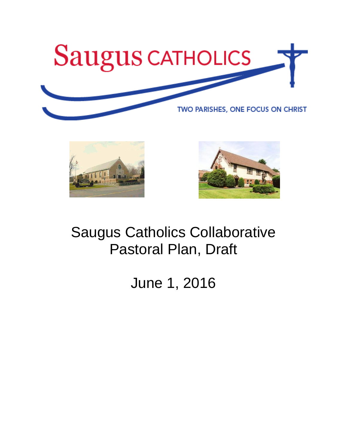





# Saugus Catholics Collaborative Pastoral Plan, Draft

June 1, 2016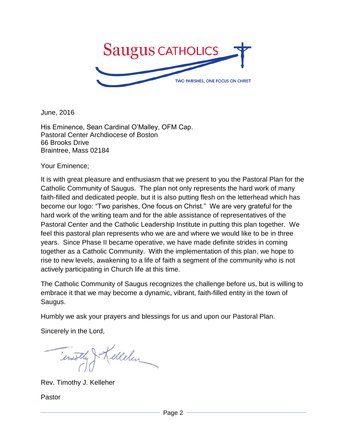

June, 2016

His Eminence, Sean Cardinal O'Malley, OFM Cap. Pastoral Center Archdiocese of Boston 66 Brooks Drive Braintree, Mass 02184

Your Eminence;

It is with great pleasure and enthusiasm that we present to you the Pastoral Plan for the Catholic Community of Saugus. The plan not only represents the hard work of many faith-filled and dedicated people, but it is also putting flesh on the letterhead which has become our logo: "Two parishes, One focus on Christ." We are very grateful for the hard work of the writing team and for the able assistance of representatives of the Pastoral Center and the Catholic Leadership Institute in putting this plan together. We feel this pastoral plan represents who we are and where we would like to be in three years. Since Phase II became operative, we have made definite strides in coming together as a Catholic Community. With the implementation of this plan, we hope to rise to new levels, awakening to a life of faith a segment of the community who is not actively participating in Church life at this time.

The Catholic Community of Saugus recognizes the challenge before us, but is willing to embrace it that we may become a dynamic, vibrant, faith-filled entity in the town of Saugus.

Humbly we ask your prayers and blessings for us and upon our Pastoral Plan.

Sincerely in the Lord,

Temothy & Kellelen

Rev. Timothy J. Kelleher

Pastor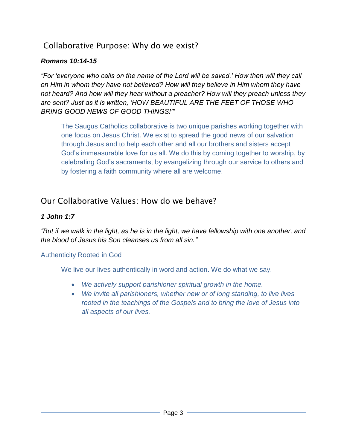# Collaborative Purpose: Why do we exist?

## *Romans 10:14-15*

*"For 'everyone who calls on the name of the Lord will be saved.' How then will they call on Him in whom they have not believed? How will they believe in Him whom they have not heard? And how will they hear without a preacher? How will they preach unless they are sent? Just as it is written, 'HOW BEAUTIFUL ARE THE FEET OF THOSE WHO BRING GOOD NEWS OF GOOD THINGS!'"*

The Saugus Catholics collaborative is two unique parishes working together with one focus on Jesus Christ. We exist to spread the good news of our salvation through Jesus and to help each other and all our brothers and sisters accept God's immeasurable love for us all. We do this by coming together to worship, by celebrating God's sacraments, by evangelizing through our service to others and by fostering a faith community where all are welcome.

# Our Collaborative Values: How do we behave?

## *1 John 1:7*

*"But if we walk in the light, as he is in the light, we have fellowship with one another, and the blood of Jesus his Son cleanses us from all sin."*

## Authenticity Rooted in God

We live our lives authentically in word and action. We do what we say.

- *We actively support parishioner spiritual growth in the home.*
- *We invite all parishioners, whether new or of long standing, to live lives rooted in the teachings of the Gospels and to bring the love of Jesus into all aspects of our lives.*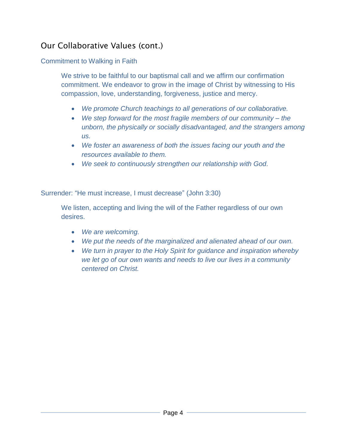# Our Collaborative Values (cont.)

#### Commitment to Walking in Faith

We strive to be faithful to our baptismal call and we affirm our confirmation commitment. We endeavor to grow in the image of Christ by witnessing to His compassion, love, understanding, forgiveness, justice and mercy.

- *We promote Church teachings to all generations of our collaborative.*
- *We step forward for the most fragile members of our community – the unborn, the physically or socially disadvantaged, and the strangers among us.*
- *We foster an awareness of both the issues facing our youth and the resources available to them.*
- *We seek to continuously strengthen our relationship with God.*

Surrender: "He must increase, I must decrease" (John 3:30)

We listen, accepting and living the will of the Father regardless of our own desires.

- *We are welcoming.*
- *We put the needs of the marginalized and alienated ahead of our own.*
- *We turn in prayer to the Holy Spirit for guidance and inspiration whereby we let go of our own wants and needs to live our lives in a community centered on Christ.*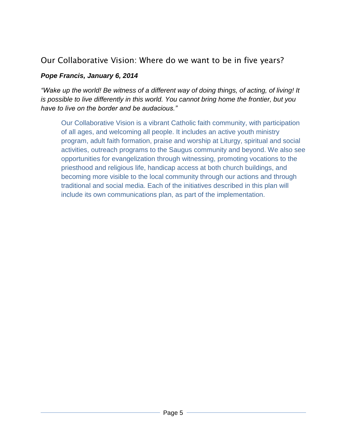# Our Collaborative Vision: Where do we want to be in five years?

#### *Pope Francis, January 6, 2014*

*"Wake up the world! Be witness of a different way of doing things, of acting, of living! It is possible to live differently in this world. You cannot bring home the frontier, but you have to live on the border and be audacious."*

Our Collaborative Vision is a vibrant Catholic faith community, with participation of all ages, and welcoming all people. It includes an active youth ministry program, adult faith formation, praise and worship at Liturgy, spiritual and social activities, outreach programs to the Saugus community and beyond. We also see opportunities for evangelization through witnessing, promoting vocations to the priesthood and religious life, handicap access at both church buildings, and becoming more visible to the local community through our actions and through traditional and social media. Each of the initiatives described in this plan will include its own communications plan, as part of the implementation.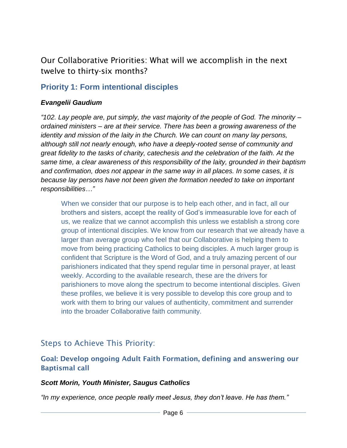# Our Collaborative Priorities: What will we accomplish in the next twelve to thirty-six months?

# **Priority 1: Form intentional disciples**

#### *Evangelii Gaudium*

*"102. Lay people are, put simply, the vast majority of the people of God. The minority – ordained ministers – are at their service. There has been a growing awareness of the identity and mission of the laity in the Church. We can count on many lay persons, although still not nearly enough, who have a deeply-rooted sense of community and great fidelity to the tasks of charity, catechesis and the celebration of the faith. At the same time, a clear awareness of this responsibility of the laity, grounded in their baptism and confirmation, does not appear in the same way in all places. In some cases, it is because lay persons have not been given the formation needed to take on important responsibilities…"*

When we consider that our purpose is to help each other, and in fact, all our brothers and sisters, accept the reality of God's immeasurable love for each of us, we realize that we cannot accomplish this unless we establish a strong core group of intentional disciples. We know from our research that we already have a larger than average group who feel that our Collaborative is helping them to move from being practicing Catholics to being disciples. A much larger group is confident that Scripture is the Word of God, and a truly amazing percent of our parishioners indicated that they spend regular time in personal prayer, at least weekly. According to the available research, these are the drivers for parishioners to move along the spectrum to become intentional disciples. Given these profiles, we believe it is very possible to develop this core group and to work with them to bring our values of authenticity, commitment and surrender into the broader Collaborative faith community.

# Steps to Achieve This Priority:

## Goal: Develop ongoing Adult Faith Formation, defining and answering our Baptismal call

#### *Scott Morin, Youth Minister, Saugus Catholics*

*"In my experience, once people really meet Jesus, they don't leave. He has them."*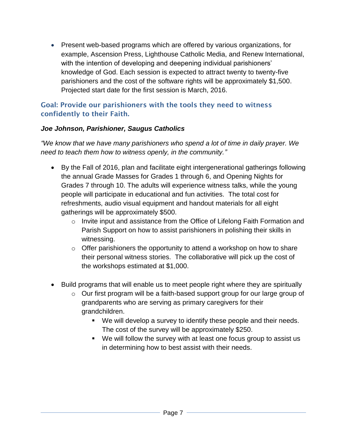Present web-based programs which are offered by various organizations, for example, Ascension Press, Lighthouse Catholic Media, and Renew International, with the intention of developing and deepening individual parishioners' knowledge of God. Each session is expected to attract twenty to twenty-five parishioners and the cost of the software rights will be approximately \$1,500. Projected start date for the first session is March, 2016.

#### Goal: Provide our parishioners with the tools they need to witness confidently to their Faith.

#### *Joe Johnson, Parishioner, Saugus Catholics*

*"We know that we have many parishioners who spend a lot of time in daily prayer. We need to teach them how to witness openly, in the community."*

- By the Fall of 2016, plan and facilitate eight intergenerational gatherings following the annual Grade Masses for Grades 1 through 6, and Opening Nights for Grades 7 through 10. The adults will experience witness talks, while the young people will participate in educational and fun activities. The total cost for refreshments, audio visual equipment and handout materials for all eight gatherings will be approximately \$500.
	- o Invite input and assistance from the Office of Lifelong Faith Formation and Parish Support on how to assist parishioners in polishing their skills in witnessing.
	- $\circ$  Offer parishioners the opportunity to attend a workshop on how to share their personal witness stories. The collaborative will pick up the cost of the workshops estimated at \$1,000.
- Build programs that will enable us to meet people right where they are spiritually
	- o Our first program will be a faith-based support group for our large group of grandparents who are serving as primary caregivers for their grandchildren.
		- We will develop a survey to identify these people and their needs. The cost of the survey will be approximately \$250.
		- We will follow the survey with at least one focus group to assist us in determining how to best assist with their needs.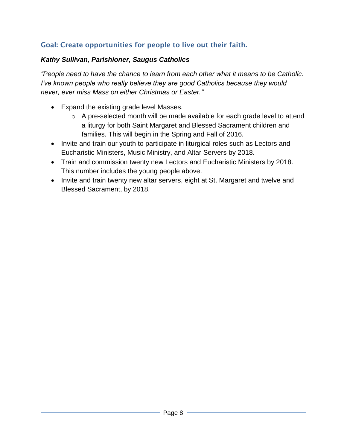# Goal: Create opportunities for people to live out their faith.

## *Kathy Sullivan, Parishioner, Saugus Catholics*

*"People need to have the chance to learn from each other what it means to be Catholic. I've known people who really believe they are good Catholics because they would never, ever miss Mass on either Christmas or Easter."*

- Expand the existing grade level Masses.
	- o A pre-selected month will be made available for each grade level to attend a liturgy for both Saint Margaret and Blessed Sacrament children and families. This will begin in the Spring and Fall of 2016.
- Invite and train our youth to participate in liturgical roles such as Lectors and Eucharistic Ministers, Music Ministry, and Altar Servers by 2018.
- Train and commission twenty new Lectors and Eucharistic Ministers by 2018. This number includes the young people above.
- Invite and train twenty new altar servers, eight at St. Margaret and twelve and Blessed Sacrament, by 2018.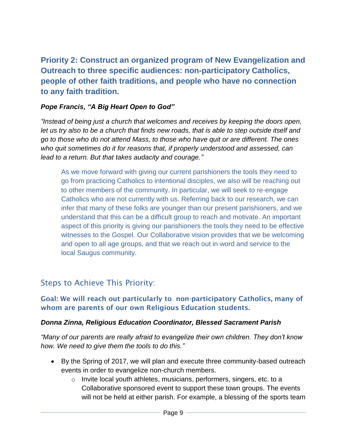**Priority 2: Construct an organized program of New Evangelization and Outreach to three specific audiences: non-participatory Catholics, people of other faith traditions, and people who have no connection to any faith tradition.**

#### *Pope Francis, "A Big Heart Open to God"*

*"Instead of being just a church that welcomes and receives by keeping the doors open, let us try also to be a church that finds new roads, that is able to step outside itself and go to those who do not attend Mass, to those who have quit or are different. The ones who quit sometimes do it for reasons that, if properly understood and assessed, can lead to a return. But that takes audacity and courage."*

As we move forward with giving our current parishioners the tools they need to go from practicing Catholics to intentional disciples, we also will be reaching out to other members of the community. In particular, we will seek to re-engage Catholics who are not currently with us. Referring back to our research, we can infer that many of these folks are younger than our present parishioners, and we understand that this can be a difficult group to reach and motivate. An important aspect of this priority is giving our parishioners the tools they need to be effective witnesses to the Gospel. Our Collaborative vision provides that we be welcoming and open to all age groups, and that we reach out in word and service to the local Saugus community.

# Steps to Achieve This Priority:

#### Goal: We will reach out particularly to non-participatory Catholics, many of whom are parents of our own Religious Education students.

#### *Donna Zinna, Religious Education Coordinator, Blessed Sacrament Parish*

*"Many of our parents are really afraid to evangelize their own children. They don't know how. We need to give them the tools to do this."*

- By the Spring of 2017, we will plan and execute three community-based outreach events in order to evangelize non-church members.
	- o Invite local youth athletes, musicians, performers, singers, etc. to a Collaborative sponsored event to support these town groups. The events will not be held at either parish. For example, a blessing of the sports team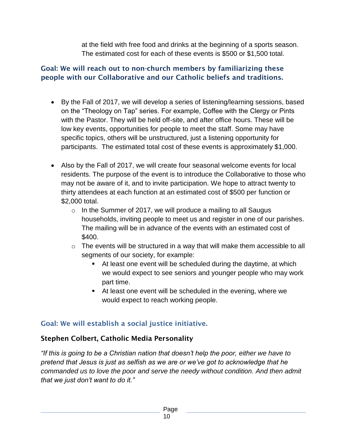at the field with free food and drinks at the beginning of a sports season. The estimated cost for each of these events is \$500 or \$1,500 total.

## Goal: We will reach out to non-church members by familiarizing these people with our Collaborative and our Catholic beliefs and traditions.

- By the Fall of 2017, we will develop a series of listening/learning sessions, based on the "Theology on Tap" series. For example, Coffee with the Clergy or Pints with the Pastor. They will be held off-site, and after office hours. These will be low key events, opportunities for people to meet the staff. Some may have specific topics, others will be unstructured, just a listening opportunity for participants. The estimated total cost of these events is approximately \$1,000.
- Also by the Fall of 2017, we will create four seasonal welcome events for local residents. The purpose of the event is to introduce the Collaborative to those who may not be aware of it, and to invite participation. We hope to attract twenty to thirty attendees at each function at an estimated cost of \$500 per function or \$2,000 total.
	- $\circ$  In the Summer of 2017, we will produce a mailing to all Saugus households, inviting people to meet us and register in one of our parishes. The mailing will be in advance of the events with an estimated cost of \$400.
	- $\circ$  The events will be structured in a way that will make them accessible to all segments of our society, for example:
		- At least one event will be scheduled during the daytime, at which we would expect to see seniors and younger people who may work part time.
		- At least one event will be scheduled in the evening, where we would expect to reach working people.

# Goal: We will establish a social justice initiative.

## Stephen Colbert, Catholic Media Personality

*"If this is going to be a Christian nation that doesn't help the poor, either we have to pretend that Jesus is just as selfish as we are or we've got to acknowledge that he commanded us to love the poor and serve the needy without condition. And then admit that we just don't want to do it."*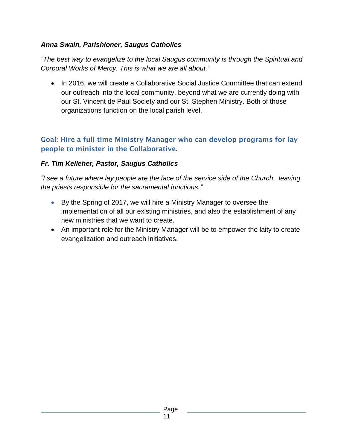#### *Anna Swain, Parishioner, Saugus Catholics*

*"The best way to evangelize to the local Saugus community is through the Spiritual and Corporal Works of Mercy. This is what we are all about."*

• In 2016, we will create a Collaborative Social Justice Committee that can extend our outreach into the local community, beyond what we are currently doing with our St. Vincent de Paul Society and our St. Stephen Ministry. Both of those organizations function on the local parish level.

## Goal: Hire a full time Ministry Manager who can develop programs for lay people to minister in the Collaborative.

#### *Fr. Tim Kelleher, Pastor, Saugus Catholics*

*"I see a future where lay people are the face of the service side of the Church, leaving the priests responsible for the sacramental functions."*

- By the Spring of 2017, we will hire a Ministry Manager to oversee the implementation of all our existing ministries, and also the establishment of any new ministries that we want to create.
- An important role for the Ministry Manager will be to empower the laity to create evangelization and outreach initiatives.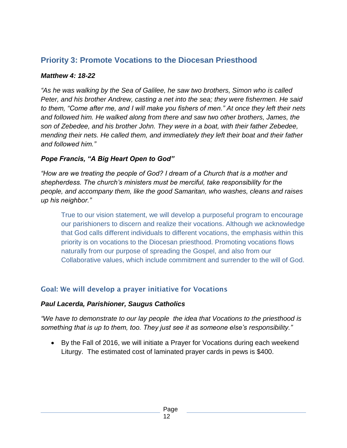# **Priority 3: Promote Vocations to the Diocesan Priesthood**

#### *Matthew 4: 18-22*

*"As he was walking by the Sea of Galilee, he saw two brothers, Simon who is called Peter, and his brother Andrew, casting a net into the sea; they were fishermen. He said to them, "Come after me, and I will make you fishers of men." At once they left their nets and followed him. He walked along from there and saw two other brothers, James, the son of Zebedee, and his brother John. They were in a boat, with their father Zebedee, mending their nets. He called them, and immediately they left their boat and their father and followed him."*

#### *Pope Francis, "A Big Heart Open to God"*

*"How are we treating the people of God? I dream of a Church that is a mother and shepherdess. The church's ministers must be merciful, take responsibility for the people, and accompany them, like the good Samaritan, who washes, cleans and raises up his neighbor."*

True to our vision statement, we will develop a purposeful program to encourage our parishioners to discern and realize their vocations. Although we acknowledge that God calls different individuals to different vocations, the emphasis within this priority is on vocations to the Diocesan priesthood. Promoting vocations flows naturally from our purpose of spreading the Gospel, and also from our Collaborative values, which include commitment and surrender to the will of God.

## Goal: We will develop a prayer initiative for Vocations

#### *Paul Lacerda, Parishioner, Saugus Catholics*

*"We have to demonstrate to our lay people the idea that Vocations to the priesthood is something that is up to them, too. They just see it as someone else's responsibility."*

 By the Fall of 2016, we will initiate a Prayer for Vocations during each weekend Liturgy. The estimated cost of laminated prayer cards in pews is \$400.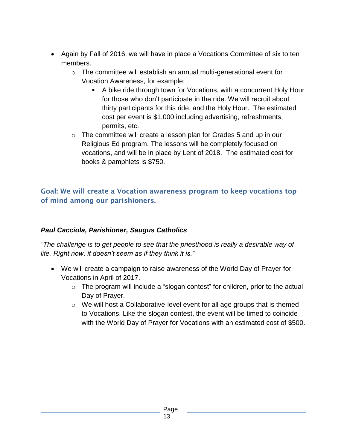- Again by Fall of 2016, we will have in place a Vocations Committee of six to ten members.
	- o The committee will establish an annual multi-generational event for Vocation Awareness, for example:
		- A bike ride through town for Vocations, with a concurrent Holy Hour for those who don't participate in the ride. We will recruit about thirty participants for this ride, and the Holy Hour. The estimated cost per event is \$1,000 including advertising, refreshments, permits, etc.
	- o The committee will create a lesson plan for Grades 5 and up in our Religious Ed program. The lessons will be completely focused on vocations, and will be in place by Lent of 2018. The estimated cost for books & pamphlets is \$750.

#### Goal: We will create a Vocation awareness program to keep vocations top of mind among our parishioners.

#### *Paul Cacciola, Parishioner, Saugus Catholics*

*"The challenge is to get people to see that the priesthood is really a desirable way of life. Right now, it doesn't seem as if they think it is."*

- We will create a campaign to raise awareness of the World Day of Prayer for Vocations in April of 2017.
	- $\circ$  The program will include a "slogan contest" for children, prior to the actual Day of Prayer.
	- o We will host a Collaborative-level event for all age groups that is themed to Vocations. Like the slogan contest, the event will be timed to coincide with the World Day of Prayer for Vocations with an estimated cost of \$500.